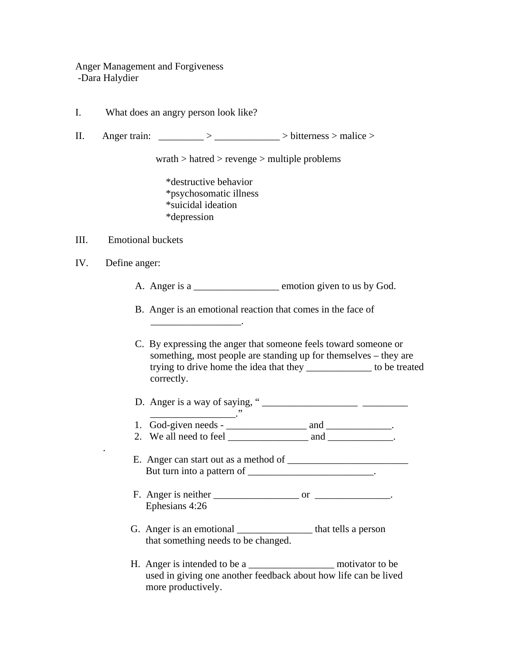Anger Management and Forgiveness -Dara Halydier

- I. What does an angry person look like?
- II. Anger train:  $\frac{\qquad}{\qquad}$  >  $\frac{\qquad}{\qquad}$  > bitterness > malice >

wrath > hatred > revenge > multiple problems

 \*destructive behavior \*psychosomatic illness \*suicidal ideation \*depression

 $\overline{\phantom{a}}$  , where the contract of the contract of the contract of the contract of the contract of the contract of the contract of the contract of the contract of the contract of the contract of the contract of the contr

\_\_\_\_\_\_\_\_\_\_\_\_\_\_\_\_\_."

## III. Emotional buckets

IV. Define anger:

.

- A. Anger is a <u>neuron section</u> emotion given to us by God.
- B. Anger is an emotional reaction that comes in the face of

C. By expressing the anger that someone feels toward someone or something, most people are standing up for themselves – they are trying to drive home the idea that they \_\_\_\_\_\_\_\_\_\_\_\_\_ to be treated correctly.

D. Anger is a way of saying, " \_\_\_\_\_\_\_\_\_\_\_\_\_\_\_\_\_\_\_ \_\_\_\_\_\_\_\_\_

1. God-given needs - \_\_\_\_\_\_\_\_\_\_\_\_\_\_\_\_ and \_\_\_\_\_\_\_\_\_\_\_\_\_. 2. We all need to feel and  $\Box$ 

 E. Anger can start out as a method of \_\_\_\_\_\_\_\_\_\_\_\_\_\_\_\_\_\_\_\_\_\_\_\_ But turn into a pattern of \_\_\_\_\_\_\_\_\_\_\_\_\_\_\_\_\_\_\_\_\_\_\_.

- F. Anger is neither or or  $\overline{\phantom{a}}$ Ephesians 4:26
- G. Anger is an emotional \_\_\_\_\_\_\_\_\_\_\_\_\_\_\_\_\_\_ that tells a person that something needs to be changed.
- H. Anger is intended to be a \_\_\_\_\_\_\_\_\_\_\_\_\_\_\_\_\_ motivator to be used in giving one another feedback about how life can be lived more productively.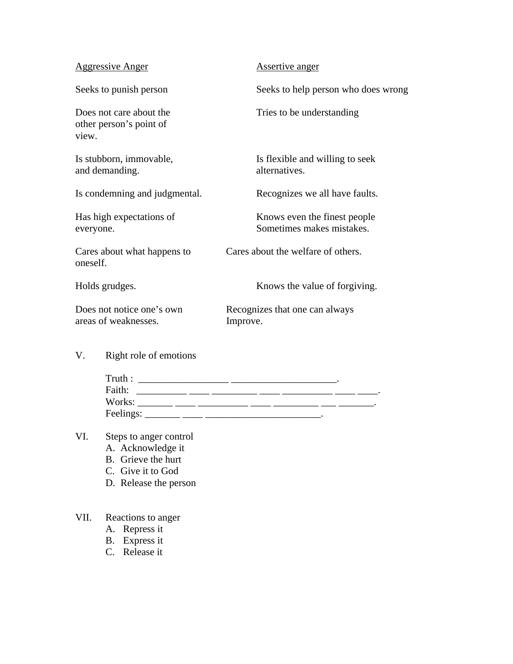| <b>Aggressive Anger</b>                                     | Assertive anger                                            |  |
|-------------------------------------------------------------|------------------------------------------------------------|--|
| Seeks to punish person                                      | Seeks to help person who does wrong                        |  |
| Does not care about the<br>other person's point of<br>view. | Tries to be understanding                                  |  |
| Is stubborn, immovable,<br>and demanding.                   | Is flexible and willing to seek<br>alternatives.           |  |
| Is condemning and judgmental.                               | Recognizes we all have faults.                             |  |
| Has high expectations of<br>everyone.                       | Knows even the finest people.<br>Sometimes makes mistakes. |  |
| Cares about what happens to<br>oneself.                     | Cares about the welfare of others.                         |  |
| Holds grudges.                                              | Knows the value of forgiving.                              |  |
| Does not notice one's own<br>areas of weaknesses.           | Recognizes that one can always<br>Improve.                 |  |

V. Right role of emotions

| Truth:    |  |  |
|-----------|--|--|
| Faith:    |  |  |
| Works:    |  |  |
| Feelings: |  |  |

## VI. Steps to anger control

- A. Acknowledge it
- B. Grieve the hurt
- C. Give it to God
- D. Release the person

## VII. Reactions to anger

- A. Repress it
- B. Express it
- C. Release it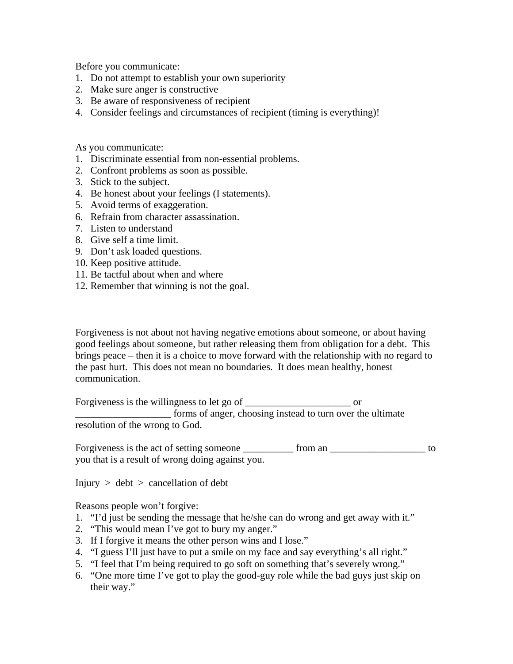Before you communicate:

- 1. Do not attempt to establish your own superiority
- 2. Make sure anger is constructive
- 3. Be aware of responsiveness of recipient
- 4. Consider feelings and circumstances of recipient (timing is everything)!

As you communicate:

- 1. Discriminate essential from non-essential problems.
- 2. Confront problems as soon as possible.
- 3. Stick to the subject.
- 4. Be honest about your feelings (I statements).
- 5. Avoid terms of exaggeration.
- 6. Refrain from character assassination.
- 7. Listen to understand
- 8. Give self a time limit.
- 9. Don't ask loaded questions.
- 10. Keep positive attitude.
- 11. Be tactful about when and where
- 12. Remember that winning is not the goal.

Forgiveness is not about not having negative emotions about someone, or about having good feelings about someone, but rather releasing them from obligation for a debt. This brings peace – then it is a choice to move forward with the relationship with no regard to the past hurt. This does not mean no boundaries. It does mean healthy, honest communication.

Forgiveness is the willingness to let go of or \_\_\_\_\_\_\_\_\_\_\_\_\_\_\_\_\_\_\_ forms of anger, choosing instead to turn over the ultimate resolution of the wrong to God.

Forgiveness is the act of setting someone from an  $\Box$ you that is a result of wrong doing against you.

 $Injury > debt > cancellation of debt$ 

Reasons people won't forgive:

- 1. "I'd just be sending the message that he/she can do wrong and get away with it."
- 2. "This would mean I've got to bury my anger."
- 3. If I forgive it means the other person wins and I lose."
- 4. "I guess I'll just have to put a smile on my face and say everything's all right."
- 5. "I feel that I'm being required to go soft on something that's severely wrong."
- 6. "One more time I've got to play the good-guy role while the bad guys just skip on their way."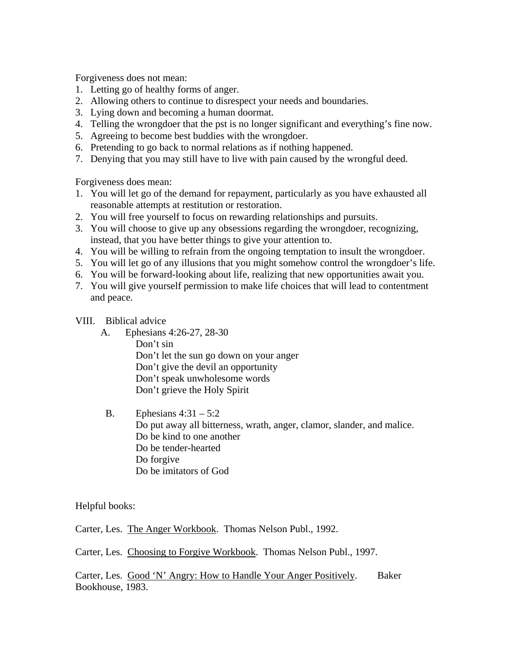Forgiveness does not mean:

- 1. Letting go of healthy forms of anger.
- 2. Allowing others to continue to disrespect your needs and boundaries.
- 3. Lying down and becoming a human doormat.
- 4. Telling the wrongdoer that the pst is no longer significant and everything's fine now.
- 5. Agreeing to become best buddies with the wrongdoer.
- 6. Pretending to go back to normal relations as if nothing happened.
- 7. Denying that you may still have to live with pain caused by the wrongful deed.

Forgiveness does mean:

- 1. You will let go of the demand for repayment, particularly as you have exhausted all reasonable attempts at restitution or restoration.
- 2. You will free yourself to focus on rewarding relationships and pursuits.
- 3. You will choose to give up any obsessions regarding the wrongdoer, recognizing, instead, that you have better things to give your attention to.
- 4. You will be willing to refrain from the ongoing temptation to insult the wrongdoer.
- 5. You will let go of any illusions that you might somehow control the wrongdoer's life.
- 6. You will be forward-looking about life, realizing that new opportunities await you.
- 7. You will give yourself permission to make life choices that will lead to contentment and peace.
- VIII. Biblical advice
	- A. Ephesians 4:26-27, 28-30 Don't sin Don't let the sun go down on your anger Don't give the devil an opportunity Don't speak unwholesome words Don't grieve the Holy Spirit
	- B. Ephesians  $4:31-5:2$ Do put away all bitterness, wrath, anger, clamor, slander, and malice. Do be kind to one another Do be tender-hearted Do forgive Do be imitators of God

Helpful books:

Carter, Les. The Anger Workbook. Thomas Nelson Publ., 1992.

Carter, Les. Choosing to Forgive Workbook. Thomas Nelson Publ., 1997.

Carter, Les. Good 'N' Angry: How to Handle Your Anger Positively. Baker Bookhouse, 1983.